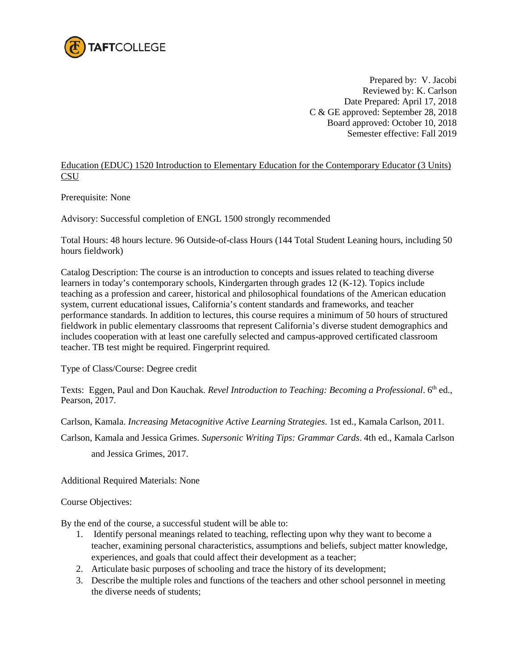

Prepared by: V. Jacobi Reviewed by: K. Carlson Date Prepared: April 17, 2018 C & GE approved: September 28, 2018 Board approved: October 10, 2018 Semester effective: Fall 2019

Education (EDUC) 1520 Introduction to Elementary Education for the Contemporary Educator (3 Units) **CSU** 

Prerequisite: None

Advisory: Successful completion of ENGL 1500 strongly recommended

Total Hours: 48 hours lecture. 96 Outside-of-class Hours (144 Total Student Leaning hours, including 50 hours fieldwork)

Catalog Description: The course is an introduction to concepts and issues related to teaching diverse learners in today's contemporary schools, Kindergarten through grades 12 (K-12). Topics include teaching as a profession and career, historical and philosophical foundations of the American education system, current educational issues, California's content standards and frameworks, and teacher performance standards. In addition to lectures, this course requires a minimum of 50 hours of structured fieldwork in public elementary classrooms that represent California's diverse student demographics and includes cooperation with at least one carefully selected and campus-approved certificated classroom teacher. TB test might be required. Fingerprint required.

Type of Class/Course: Degree credit

Texts: Eggen, Paul and Don Kauchak. *Revel Introduction to Teaching: Becoming a Professional*. 6<sup>th</sup> ed., Pearson, 2017.

Carlson, Kamala. *Increasing Metacognitive Active Learning Strategies*. 1st ed., Kamala Carlson, 2011.

Carlson, Kamala and Jessica Grimes. *Supersonic Writing Tips: Grammar Cards*. 4th ed., Kamala Carlson and Jessica Grimes, 2017.

Additional Required Materials: None

## Course Objectives:

By the end of the course, a successful student will be able to:

- 1. Identify personal meanings related to teaching, reflecting upon why they want to become a teacher, examining personal characteristics, assumptions and beliefs, subject matter knowledge, experiences, and goals that could affect their development as a teacher;
- 2. Articulate basic purposes of schooling and trace the history of its development;
- 3. Describe the multiple roles and functions of the teachers and other school personnel in meeting the diverse needs of students;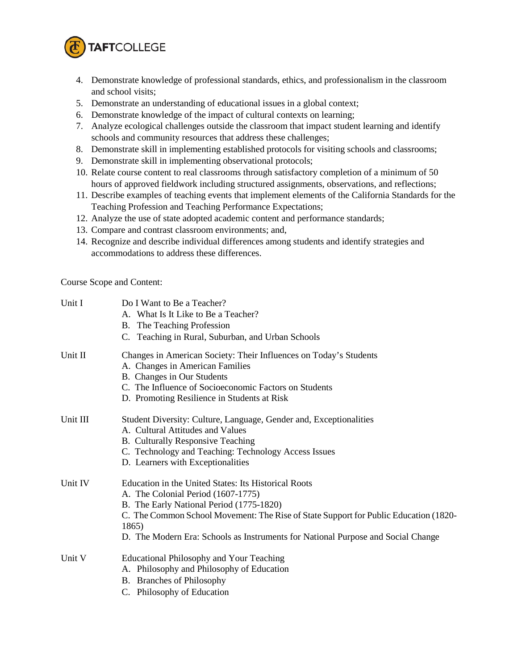

- 4. Demonstrate knowledge of professional standards, ethics, and professionalism in the classroom and school visits;
- 5. Demonstrate an understanding of educational issues in a global context;
- 6. Demonstrate knowledge of the impact of cultural contexts on learning;
- 7. Analyze ecological challenges outside the classroom that impact student learning and identify schools and community resources that address these challenges;
- 8. Demonstrate skill in implementing established protocols for visiting schools and classrooms;
- 9. Demonstrate skill in implementing observational protocols;
- 10. Relate course content to real classrooms through satisfactory completion of a minimum of 50 hours of approved fieldwork including structured assignments, observations, and reflections;
- 11. Describe examples of teaching events that implement elements of the California Standards for the Teaching Profession and Teaching Performance Expectations;
- 12. Analyze the use of state adopted academic content and performance standards;
- 13. Compare and contrast classroom environments; and,
- 14. Recognize and describe individual differences among students and identify strategies and accommodations to address these differences.

Course Scope and Content:

| Unit I   | Do I Want to Be a Teacher?<br>A. What Is It Like to Be a Teacher?<br>B. The Teaching Profession<br>C. Teaching in Rural, Suburban, and Urban Schools                                                                                                                                                                        |
|----------|-----------------------------------------------------------------------------------------------------------------------------------------------------------------------------------------------------------------------------------------------------------------------------------------------------------------------------|
| Unit II  | Changes in American Society: Their Influences on Today's Students<br>A. Changes in American Families<br>B. Changes in Our Students<br>C. The Influence of Socioeconomic Factors on Students<br>D. Promoting Resilience in Students at Risk                                                                                  |
| Unit III | Student Diversity: Culture, Language, Gender and, Exceptionalities<br>A. Cultural Attitudes and Values<br>B. Culturally Responsive Teaching<br>C. Technology and Teaching: Technology Access Issues<br>D. Learners with Exceptionalities                                                                                    |
| Unit IV  | Education in the United States: Its Historical Roots<br>A. The Colonial Period (1607-1775)<br>B. The Early National Period (1775-1820)<br>C. The Common School Movement: The Rise of State Support for Public Education (1820-<br>1865)<br>D. The Modern Era: Schools as Instruments for National Purpose and Social Change |
| Unit V   | <b>Educational Philosophy and Your Teaching</b><br>A. Philosophy and Philosophy of Education<br>B. Branches of Philosophy<br>C. Philosophy of Education                                                                                                                                                                     |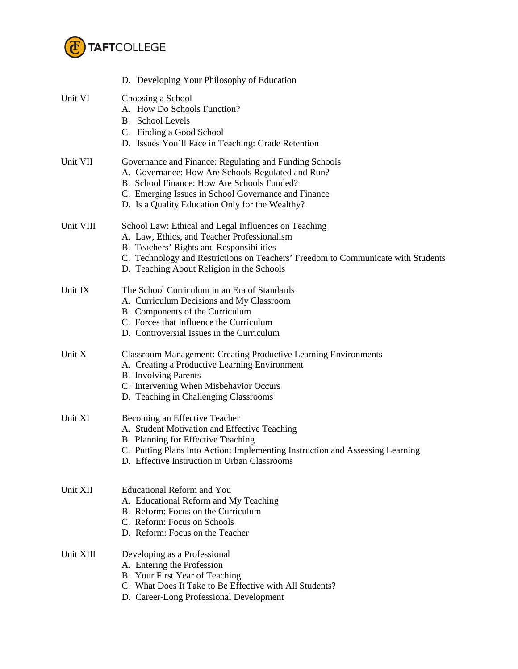

|           | D. Developing Your Philosophy of Education                                                                                                                                                                                                                                       |  |
|-----------|----------------------------------------------------------------------------------------------------------------------------------------------------------------------------------------------------------------------------------------------------------------------------------|--|
| Unit VI   | Choosing a School<br>A. How Do Schools Function?<br><b>B.</b> School Levels<br>C. Finding a Good School<br>D. Issues You'll Face in Teaching: Grade Retention                                                                                                                    |  |
| Unit VII  | Governance and Finance: Regulating and Funding Schools<br>A. Governance: How Are Schools Regulated and Run?<br>B. School Finance: How Are Schools Funded?<br>C. Emerging Issues in School Governance and Finance<br>D. Is a Quality Education Only for the Wealthy?              |  |
| Unit VIII | School Law: Ethical and Legal Influences on Teaching<br>A. Law, Ethics, and Teacher Professionalism<br>B. Teachers' Rights and Responsibilities<br>C. Technology and Restrictions on Teachers' Freedom to Communicate with Students<br>D. Teaching About Religion in the Schools |  |
| Unit IX   | The School Curriculum in an Era of Standards<br>A. Curriculum Decisions and My Classroom<br>B. Components of the Curriculum<br>C. Forces that Influence the Curriculum<br>D. Controversial Issues in the Curriculum                                                              |  |
| Unit X    | <b>Classroom Management: Creating Productive Learning Environments</b><br>A. Creating a Productive Learning Environment<br><b>B.</b> Involving Parents<br>C. Intervening When Misbehavior Occurs<br>D. Teaching in Challenging Classrooms                                        |  |
| Unit XI   | Becoming an Effective Teacher<br>A. Student Motivation and Effective Teaching<br>B. Planning for Effective Teaching<br>C. Putting Plans into Action: Implementing Instruction and Assessing Learning<br>D. Effective Instruction in Urban Classrooms                             |  |
| Unit XII  | <b>Educational Reform and You</b><br>A. Educational Reform and My Teaching<br>B. Reform: Focus on the Curriculum<br>C. Reform: Focus on Schools<br>D. Reform: Focus on the Teacher                                                                                               |  |
| Unit XIII | Developing as a Professional<br>A. Entering the Profession<br>B. Your First Year of Teaching<br>C. What Does It Take to Be Effective with All Students?<br>D. Career-Long Professional Development                                                                               |  |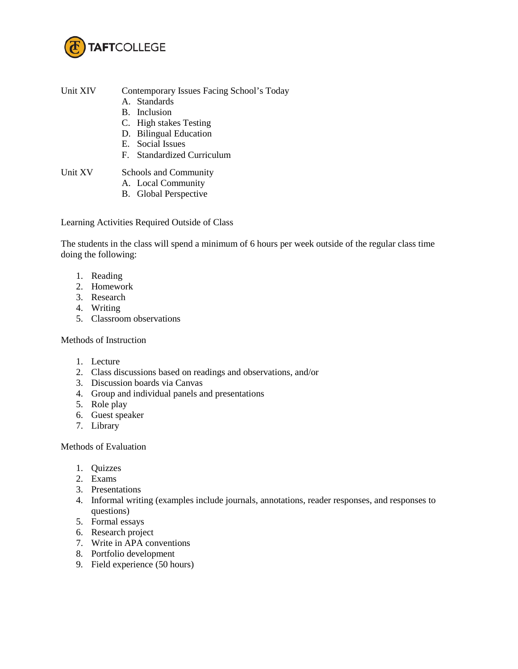

Unit XIV Contemporary Issues Facing School's Today

- A. Standards
- B. Inclusion
- C. High stakes Testing
- D. Bilingual Education
- E. Social Issues
- F. Standardized Curriculum

Unit XV Schools and Community

- A. Local Community
- B. Global Perspective

Learning Activities Required Outside of Class

The students in the class will spend a minimum of 6 hours per week outside of the regular class time doing the following:

- 1. Reading
- 2. Homework
- 3. Research
- 4. Writing
- 5. Classroom observations

## Methods of Instruction

- 1. Lecture
- 2. Class discussions based on readings and observations, and/or
- 3. Discussion boards via Canvas
- 4. Group and individual panels and presentations
- 5. Role play
- 6. Guest speaker
- 7. Library

Methods of Evaluation

- 1. Quizzes
- 2. Exams
- 3. Presentations
- 4. Informal writing (examples include journals, annotations, reader responses, and responses to questions)
- 5. Formal essays
- 6. Research project
- 7. Write in APA conventions
- 8. Portfolio development
- 9. Field experience (50 hours)